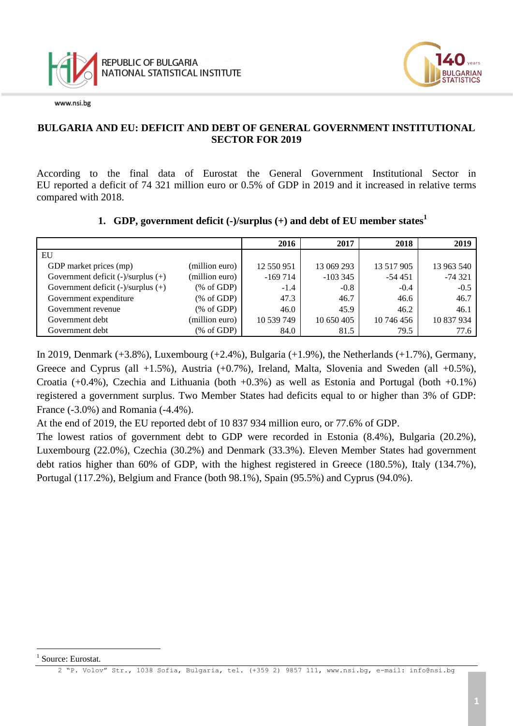



#### **BULGARIA AND EU: DEFICIT AND DEBT OF GENERAL GOVERNMENT INSTITUTIONAL SECTOR FOR 2019**

According to the final data of Eurostat the General Government Institutional Sector in EU reported a deficit of 74 321 million euro or 0.5% of GDP in 2019 and it increased in relative terms compared with 2018.

# **1. GDP, government deficit (-)/surplus (+) and debt of EU member states<sup>1</sup> 2016 2017 2018 2019**

| EU                                      |                |            |            |            |            |
|-----------------------------------------|----------------|------------|------------|------------|------------|
| GDP market prices (mp)                  | (million euro) | 12 550 951 | 13 069 293 | 13 517 905 | 13 963 540 |
| Government deficit $(-)/$ surplus $(+)$ | (million euro) | $-169714$  | $-1033345$ | $-54451$   | $-74321$   |
| Government deficit $(-)/$ surplus $(+)$ | % of GDP       | $-1.4$     | $-0.8$     | $-0.4$     | $-0.5$     |
| Government expenditure                  | % of GDP       | 47.3       | 46.7       | 46.6       | 46.7       |
| Government revenue                      | % of GDP       | 46.0       | 45.9       | 46.2       | 46.1       |
| Government debt                         | (million euro) | 10 539 749 | 10 650 405 | 10 746 456 | 10 837 934 |
| Government debt                         | % of GDP       | 84.0       | 81.5       | 79.5       | 77.6       |

In 2019, Denmark  $(+3.8\%)$ , Luxembourg  $(+2.4\%)$ , Bulgaria  $(+1.9\%)$ , the Netherlands  $(+1.7\%)$ , Germany, Greece and Cyprus (all  $+1.5\%$ ), Austria ( $+0.7\%$ ), Ireland, Malta, Slovenia and Sweden (all  $+0.5\%$ ), Croatia  $(+0.4\%)$ , Czechia and Lithuania (both  $+0.3\%$ ) as well as Estonia and Portugal (both  $+0.1\%$ ) registered a government surplus. Two Member States had deficits equal to or higher than 3% of GDP: France (-3.0%) and Romania (-4.4%).

At the end of 2019, the EU reported debt of 10 837 934 million euro, or 77.6% of GDP.

The lowest ratios of government debt to GDP were recorded in Estonia (8.4%), Bulgaria (20.2%), Luxembourg (22.0%), Czechia (30.2%) and Denmark (33.3%). Eleven Member States had government debt ratios higher than 60% of GDP, with the highest registered in Greece (180.5%), Italy (134.7%), Portugal (117.2%), Belgium and France (both 98.1%), Spain (95.5%) and Cyprus (94.0%).

i<br>L

<sup>1</sup> Source: Eurostat.

<sup>2</sup> "P. Volov" Str., 1038 Sofia, Bulgaria, tel. (+359 2) 9857 111, [www.nsi.bg,](http://www.nsi.bg/) e-mail: info@nsi.bg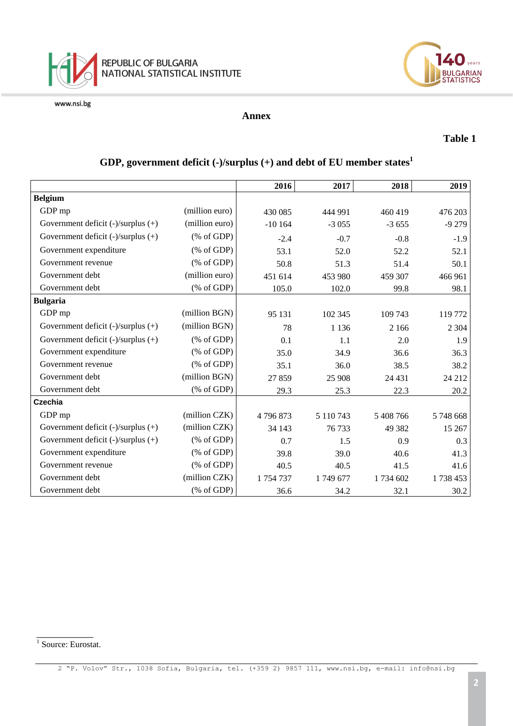



#### **Annex**

#### **Table 1**

|                                         |                                                       | 2016     | 2017      | 2018      | 2019     |
|-----------------------------------------|-------------------------------------------------------|----------|-----------|-----------|----------|
| <b>Belgium</b>                          |                                                       |          |           |           |          |
| GDP mp                                  | (million euro)                                        | 430 085  | 444 991   | 460 419   | 476 203  |
| Government deficit $(-)/$ surplus $(+)$ | (million euro)                                        | $-10164$ | $-3055$   | $-3655$   | $-9279$  |
| Government deficit $(-)/$ surplus $(+)$ | % of GDP                                              | $-2.4$   | $-0.7$    | $-0.8$    | $-1.9$   |
| Government expenditure                  | % of GDP                                              | 53.1     | 52.0      | 52.2      | 52.1     |
| Government revenue                      | % of GDP                                              | 50.8     | 51.3      | 51.4      | 50.1     |
| Government debt                         | (million euro)                                        | 451 614  | 453 980   | 459 307   | 466 961  |
| Government debt                         | $(% \mathcal{L}_{0}^{\infty}$ (% of GDP)              | 105.0    | 102.0     | 99.8      | 98.1     |
| <b>Bulgaria</b>                         |                                                       |          |           |           |          |
| GDP mp                                  | (million BGN)                                         | 95 131   | 102 345   | 109 743   | 119 772  |
| Government deficit $(-)/$ surplus $(+)$ | (million BGN)                                         | 78       | 1 1 3 6   | 2 1 6 6   | 2 3 0 4  |
| Government deficit $(-)/$ surplus $(+)$ | % of GDP                                              | 0.1      | 1.1       | 2.0       | 1.9      |
| Government expenditure                  | % of GDP                                              | 35.0     | 34.9      | 36.6      | 36.3     |
| Government revenue                      | % of GDP                                              | 35.1     | 36.0      | 38.5      | 38.2     |
| Government debt                         | (million BGN)                                         | 27859    | 25 908    | 24 4 31   | 24 212   |
| Government debt                         | $(% \mathcal{L}_{0} \cap \mathcal{L}_{1})$ (% of GDP) | 29.3     | 25.3      | 22.3      | 20.2     |
| Czechia                                 |                                                       |          |           |           |          |
| GDP mp                                  | (million CZK)                                         | 4796873  | 5 110 743 | 5 408 766 | 5748668  |
| Government deficit $(-)/$ surplus $(+)$ | (million CZK)                                         | 34 143   | 76 733    | 49 382    | 15 267   |
| Government deficit $(-)/$ surplus $(+)$ | % of GDP                                              | 0.7      | 1.5       | 0.9       | 0.3      |
| Government expenditure                  | % of GDP                                              | 39.8     | 39.0      | 40.6      | 41.3     |
| Government revenue                      | % of GDP                                              | 40.5     | 40.5      | 41.5      | 41.6     |
| Government debt                         | (million CZK)                                         | 1754737  | 1749 677  | 1 734 602 | 1738 453 |
| Government debt                         | $(% \mathcal{L}_{0} \cap \mathcal{L}_{1})$ (% of GDP) | 36.6     | 34.2      | 32.1      | 30.2     |

### **GDP, government deficit (-)/surplus (+) and debt of EU member states<sup>1</sup>**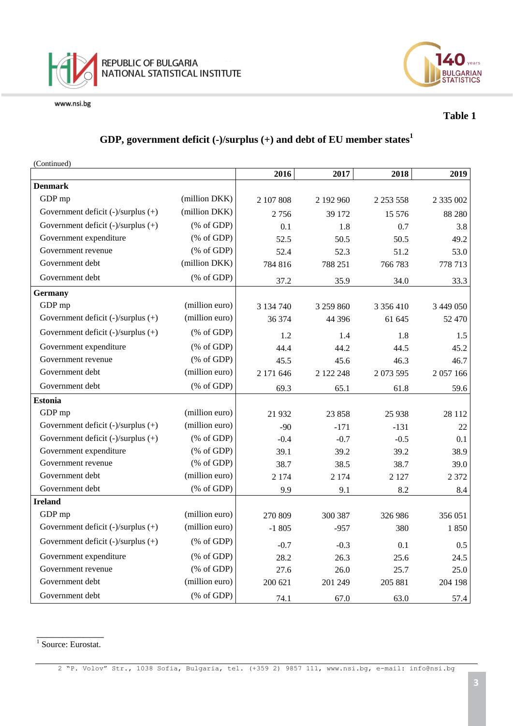



#### **Table 1**

#### **GDP, government deficit (-)/surplus (+) and debt of EU member states<sup>1</sup>**

(Continued)

|                                    |                                                                 | 2016      | 2017      | 2018          | 2019          |
|------------------------------------|-----------------------------------------------------------------|-----------|-----------|---------------|---------------|
| <b>Denmark</b>                     |                                                                 |           |           |               |               |
| GDP mp                             | (million DKK)                                                   | 2 107 808 | 2 192 960 | 2 2 5 3 5 5 8 | 2 3 3 5 0 0 2 |
| Government deficit (-)/surplus (+) | (million DKK)                                                   | 2756      | 39 172    | 15 576        | 88 280        |
| Government deficit (-)/surplus (+) | (% of GDP)                                                      | 0.1       | 1.8       | 0.7           | 3.8           |
| Government expenditure             | $(% \mathcal{L}_{0} \cap \mathcal{L}_{1})$ (% of GDP)           | 52.5      | 50.5      | 50.5          | 49.2          |
| Government revenue                 | $(% \mathcal{L}_{0} \cap \mathcal{L}_{1})$ (% of GDP)           | 52.4      | 52.3      | 51.2          | 53.0          |
| Government debt                    | (million DKK)                                                   | 784 816   | 788 251   | 766 783       | 778 713       |
| Government debt                    | $(% \mathcal{L}_{0}$ (% of GDP)                                 | 37.2      | 35.9      | 34.0          | 33.3          |
| <b>Germany</b>                     |                                                                 |           |           |               |               |
| GDP mp                             | (million euro)                                                  | 3 134 740 | 3 259 860 | 3 3 5 6 4 1 0 | 3 449 050     |
| Government deficit (-)/surplus (+) | (million euro)                                                  | 36 374    | 44 3 9 6  | 61 645        | 52 470        |
| Government deficit (-)/surplus (+) | $(% \mathcal{L}_{0}^{\ast }\otimes \mathcal{L}_{1})$ (% of GDP) | 1.2       | 1.4       | 1.8           | 1.5           |
| Government expenditure             | $(% \mathcal{L}_{0} \cap \mathcal{L}_{1})$ (% of GDP)           | 44.4      | 44.2      | 44.5          | 45.2          |
| Government revenue                 | $(% \mathcal{L}_{0} \cap \mathcal{L}_{1})$ (% of GDP)           | 45.5      | 45.6      | 46.3          | 46.7          |
| Government debt                    | (million euro)                                                  | 2 171 646 | 2 122 248 | 2 073 595     | 2 057 166     |
| Government debt                    | (% of GDP)                                                      | 69.3      | 65.1      | 61.8          | 59.6          |
| <b>Estonia</b>                     |                                                                 |           |           |               |               |
| GDP mp                             | (million euro)                                                  | 21 9 32   | 23 858    | 25 9 38       | 28 112        |
| Government deficit (-)/surplus (+) | (million euro)                                                  | $-90$     | $-171$    | $-131$        | 22            |
| Government deficit (-)/surplus (+) | $(% \mathcal{L}_{0}^{\infty}$ (% of GDP)                        | $-0.4$    | $-0.7$    | $-0.5$        | 0.1           |
| Government expenditure             | (% of GDP)                                                      | 39.1      | 39.2      | 39.2          | 38.9          |
| Government revenue                 | $(% \mathcal{L}_{0} \cap \mathcal{L}_{1})$ (% of GDP)           | 38.7      | 38.5      | 38.7          | 39.0          |
| Government debt                    | (million euro)                                                  | 2 1 7 4   | 2 1 7 4   | 2 1 2 7       | 2 3 7 2       |
| Government debt                    | $(% \mathcal{L}_{0}$ (% of GDP)                                 | 9.9       | 9.1       | 8.2           | 8.4           |
| <b>Ireland</b>                     |                                                                 |           |           |               |               |
| GDP mp                             | (million euro)                                                  | 270 809   | 300 387   | 326 986       | 356 051       |
| Government deficit (-)/surplus (+) | (million euro)                                                  | $-1805$   | $-957$    | 380           | 1850          |
| Government deficit (-)/surplus (+) | $(% \mathcal{L}_{0}^{\infty}$ (% of GDP)                        | $-0.7$    | $-0.3$    | 0.1           | 0.5           |
| Government expenditure             | $(% \mathcal{L}_{0} \cap \mathcal{L}_{1})$ (% of GDP)           | 28.2      | 26.3      | 25.6          | 24.5          |
| Government revenue                 | $(% \mathcal{L}_{0}$ (% of GDP)                                 | 27.6      | 26.0      | 25.7          | 25.0          |
| Government debt                    | (million euro)                                                  | 200 621   | 201 249   | 205 881       | 204 198       |
| Government debt                    | (% of GDP)                                                      | 74.1      | 67.0      | 63.0          | 57.4          |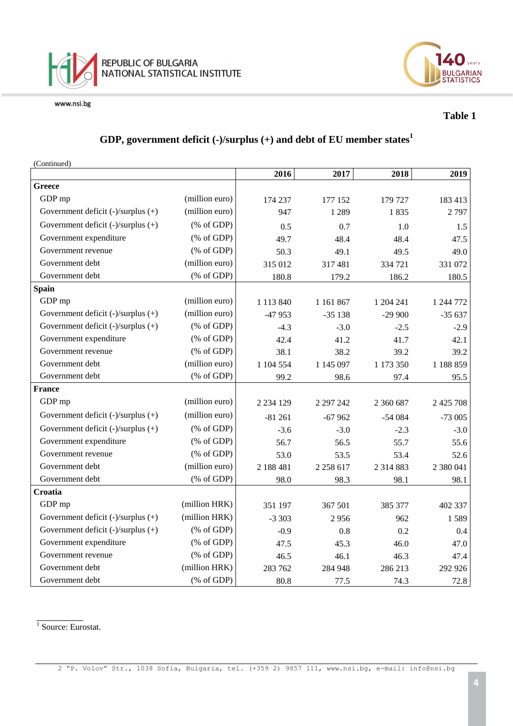



#### **Table 1**

#### **GDP, government deficit (-)/surplus (+) and debt of EU member states<sup>1</sup>**

(Continued)

|                                         |                                                                 | 2016          | 2017          | 2018          | 2019          |
|-----------------------------------------|-----------------------------------------------------------------|---------------|---------------|---------------|---------------|
| <b>Greece</b>                           |                                                                 |               |               |               |               |
| GDP mp                                  | (million euro)                                                  | 174 237       | 177 152       | 179 727       | 183 413       |
| Government deficit $(-)/$ surplus $(+)$ | (million euro)                                                  | 947           | 1 2 8 9       | 1835          | 2797          |
| Government deficit (-)/surplus (+)      | $(% \mathcal{L}_{0}^{\infty}$ (% of GDP)                        | 0.5           | 0.7           | 1.0           | 1.5           |
| Government expenditure                  | $(% \mathcal{L}_{0} \cap \mathcal{L}_{1})$ (% of GDP)           | 49.7          | 48.4          | 48.4          | 47.5          |
| Government revenue                      | $(% \mathcal{L}_{0} \cap \mathcal{L}_{1})$ (% of GDP)           | 50.3          | 49.1          | 49.5          | 49.0          |
| Government debt                         | (million euro)                                                  | 315 012       | 317481        | 334 721       | 331 072       |
| Government debt                         | $(% \mathcal{L}_{0}^{\ast }\otimes \mathcal{L}_{1})$ (% of GDP) | 180.8         | 179.2         | 186.2         | 180.5         |
| <b>Spain</b>                            |                                                                 |               |               |               |               |
| GDP mp                                  | (million euro)                                                  | 1 1 1 3 8 4 0 | 1 161 867     | 1 204 241     | 1 244 772     |
| Government deficit (-)/surplus (+)      | (million euro)                                                  | $-47953$      | $-35138$      | $-29900$      | $-35637$      |
| Government deficit (-)/surplus (+)      | $(% \mathcal{L}_{0}^{\infty}$ (% of GDP)                        | $-4.3$        | $-3.0$        | $-2.5$        | $-2.9$        |
| Government expenditure                  | $(% \mathcal{L}_{0} \cap \mathcal{L}_{1})$ (% of GDP)           | 42.4          | 41.2          | 41.7          | 42.1          |
| Government revenue                      | $(% \mathcal{L}_{0} \cap \mathcal{L}_{1})$ (% of GDP)           | 38.1          | 38.2          | 39.2          | 39.2          |
| Government debt                         | (million euro)                                                  | 1 104 554     | 1 145 097     | 1 173 350     | 1 188 859     |
| Government debt                         | (% of GDP)                                                      | 99.2          | 98.6          | 97.4          | 95.5          |
| <b>France</b>                           |                                                                 |               |               |               |               |
| GDP mp                                  | (million euro)                                                  | 2 2 3 4 1 2 9 | 2 297 242     | 2 360 687     | 2 4 2 5 7 0 8 |
| Government deficit $(-)/$ surplus $(+)$ | (million euro)                                                  | $-81261$      | $-67962$      | $-54084$      | $-73005$      |
| Government deficit (-)/surplus (+)      | $(% \mathcal{L}_{0}^{\infty}$ (% of GDP)                        | $-3.6$        | $-3.0$        | $-2.3$        | $-3.0$        |
| Government expenditure                  | $(% \mathcal{L}_{0} \cap \mathcal{L}_{1})$ (% of GDP)           | 56.7          | 56.5          | 55.7          | 55.6          |
| Government revenue                      | $(% \mathcal{L}_{0} \cap \mathcal{L}_{1})$ (% of GDP)           | 53.0          | 53.5          | 53.4          | 52.6          |
| Government debt                         | (million euro)                                                  | 2 188 481     | 2 2 5 8 6 1 7 | 2 3 1 4 8 8 3 | 2 380 041     |
| Government debt                         | $(% \mathcal{L}_{0}$ (% of GDP)                                 | 98.0          | 98.3          | 98.1          | 98.1          |
| Croatia                                 |                                                                 |               |               |               |               |
| GDP mp                                  | (million HRK)                                                   | 351 197       | 367 501       | 385 377       | 402 337       |
| Government deficit (-)/surplus (+)      | (million HRK)                                                   | $-3303$       | 2956          | 962           | 1589          |
| Government deficit (-)/surplus (+)      | $(% \mathcal{L}_{0} \cap \mathcal{L}_{1})$ (% of GDP)           | $-0.9$        | 0.8           | 0.2           | 0.4           |
| Government expenditure                  | $(% \mathcal{L}_{0} \cap \mathcal{L}_{1})$ (% of GDP)           | 47.5          | 45.3          | 46.0          | 47.0          |
| Government revenue                      | $(% \mathcal{L}_{0} \cap \mathcal{L}_{1})$ (% of GDP)           | 46.5          | 46.1          | 46.3          | 47.4          |
| Government debt                         | (million HRK)                                                   | 283 762       | 284 948       | 286 213       | 292 926       |
| Government debt                         | $(% \mathcal{L}_{0}$ (% of GDP)                                 | 80.8          | 77.5          | 74.3          | 72.8          |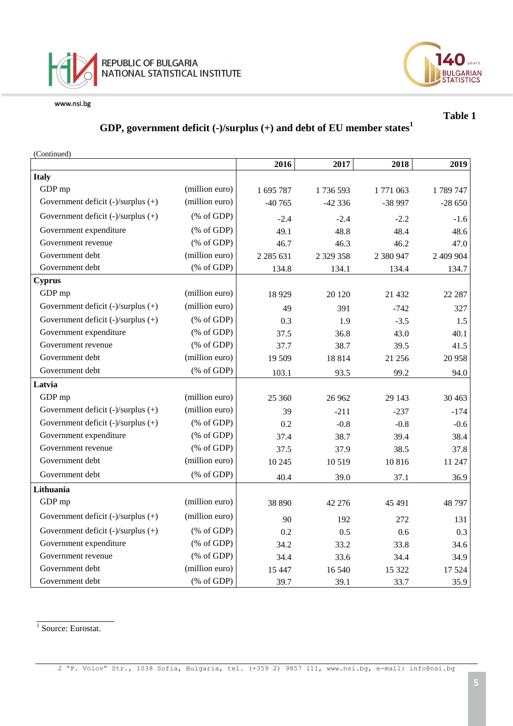



**Table 1** 

#### **GDP, government deficit (-)/surplus (+) and debt of EU member states<sup>1</sup>**

| (Continued)                             |                                                                 |               |               |           |           |
|-----------------------------------------|-----------------------------------------------------------------|---------------|---------------|-----------|-----------|
|                                         |                                                                 | 2016          | 2017          | 2018      | 2019      |
| <b>Italy</b>                            |                                                                 |               |               |           |           |
| GDP mp                                  | (million euro)                                                  | 1 695 787     | 1736 593      | 1771063   | 1789747   |
| Government deficit (-)/surplus (+)      | (million euro)                                                  | $-40765$      | $-42336$      | -38 997   | $-28650$  |
| Government deficit (-)/surplus (+)      | % of GDP                                                        | $-2.4$        | $-2.4$        | $-2.2$    | $-1.6$    |
| Government expenditure                  | $(% \mathcal{L}_{0}^{\infty}$ (% of GDP)                        | 49.1          | 48.8          | 48.4      | 48.6      |
| Government revenue                      | $(% \mathcal{L}_{0}$ (% of GDP)                                 | 46.7          | 46.3          | 46.2      | 47.0      |
| Government debt                         | (million euro)                                                  | 2 2 8 5 6 3 1 | 2 3 2 3 3 5 8 | 2 380 947 | 2 409 904 |
| Government debt                         | (% of GDP)                                                      | 134.8         | 134.1         | 134.4     | 134.7     |
| <b>Cyprus</b>                           |                                                                 |               |               |           |           |
| GDP mp                                  | (million euro)                                                  | 18 9 29       | 20 120        | 21 432    | 22 287    |
| Government deficit $(-)/$ surplus $(+)$ | (million euro)                                                  | 49            | 391           | $-742$    | 327       |
| Government deficit (-)/surplus (+)      | $(% \mathcal{L}_{0}^{\infty}$ (% of GDP)                        | 0.3           | 1.9           | $-3.5$    | 1.5       |
| Government expenditure                  | $(% \mathcal{L}_{0}^{\infty})$ (% of GDP)                       | 37.5          | 36.8          | 43.0      | 40.1      |
| Government revenue                      | $(% \mathcal{L}_{0}^{\infty}$ (% of GDP)                        | 37.7          | 38.7          | 39.5      | 41.5      |
| Government debt                         | (million euro)                                                  | 19 509        | 18814         | 21 25 6   | 20 958    |
| Government debt                         | $(% \mathcal{L}_{0}$ (% of GDP)                                 | 103.1         | 93.5          | 99.2      | 94.0      |
| Latvia                                  |                                                                 |               |               |           |           |
| GDP mp                                  | (million euro)                                                  | 25 360        | 26 962        | 29 143    | 30 4 63   |
| Government deficit (-)/surplus (+)      | (million euro)                                                  | 39            | $-211$        | $-237$    | $-174$    |
| Government deficit (-)/surplus (+)      | $(% \mathcal{L}_{0}^{\infty}$ (% of GDP)                        | 0.2           | $-0.8$        | $-0.8$    | $-0.6$    |
| Government expenditure                  | $(% \mathcal{L}_{0}^{\ast }\otimes \mathcal{L}_{1})$ (% of GDP) | 37.4          | 38.7          | 39.4      | 38.4      |
| Government revenue                      | $(% \mathcal{L}_{0}^{\infty}$ (% of GDP)                        | 37.5          | 37.9          | 38.5      | 37.8      |
| Government debt                         | (million euro)                                                  | 10 245        | 10 519        | 10816     | 11 247    |
| Government debt                         | $(% \mathcal{L}_{0}^{\infty}$ (% of GDP)                        | 40.4          | 39.0          | 37.1      | 36.9      |
| Lithuania                               |                                                                 |               |               |           |           |
| GDP mp                                  | (million euro)                                                  | 38 890        | 42 276        | 45 491    | 48 797    |
| Government deficit (-)/surplus (+)      | (million euro)                                                  | 90            | 192           | 272       | 131       |
| Government deficit (-)/surplus (+)      | % of GDP                                                        | 0.2           | 0.5           | 0.6       | 0.3       |
| Government expenditure                  | % of GDP                                                        | 34.2          | 33.2          | 33.8      | 34.6      |
| Government revenue                      | $(% \mathcal{L}_{0}^{\infty})$ (% of GDP)                       | 34.4          | 33.6          | 34.4      | 34.9      |
| Government debt                         | (million euro)                                                  | 15 447        | 16 540        | 15 322    | 17 5 24   |
| Government debt                         | $(% \mathcal{L}_{0} \cap \mathcal{L}_{1})$ (% of GDP)           | 39.7          | 39.1          | 33.7      | 35.9      |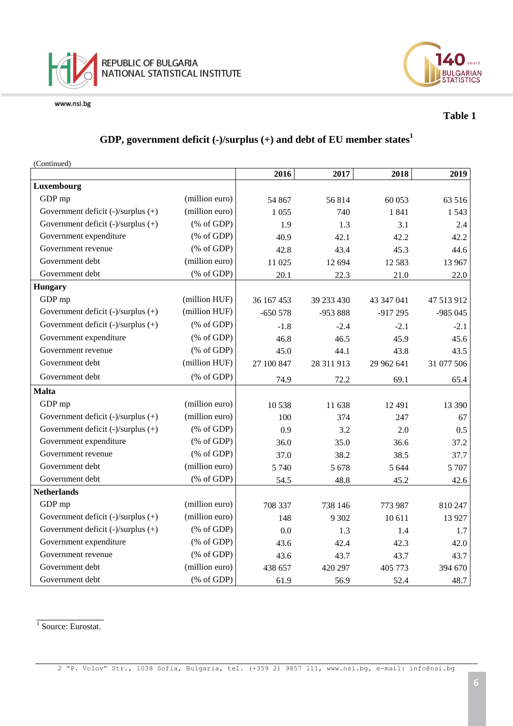



#### **Table 1**

#### **GDP, government deficit (-)/surplus (+) and debt of EU member states<sup>1</sup>**

(Continued)

|                                         |                                                       | 2016       | 2017       | 2018       | 2019       |
|-----------------------------------------|-------------------------------------------------------|------------|------------|------------|------------|
| Luxembourg                              |                                                       |            |            |            |            |
| GDP mp                                  | (million euro)                                        | 54 867     | 56814      | 60 053     | 63 516     |
| Government deficit $(-)/$ surplus $(+)$ | (million euro)                                        | 1 0 5 5    | 740        | 1841       | 1543       |
| Government deficit (-)/surplus (+)      | $(% \mathcal{L}_{0}$ (% of GDP)                       | 1.9        | 1.3        | 3.1        | 2.4        |
| Government expenditure                  | $(% \mathcal{L}_{0} \cap \mathcal{L}_{1})$ (% of GDP) | 40.9       | 42.1       | 42.2       | 42.2       |
| Government revenue                      | (% of GDP)                                            | 42.8       | 43.4       | 45.3       | 44.6       |
| Government debt                         | (million euro)                                        | 11 025     | 12 694     | 12 5 8 3   | 13 967     |
| Government debt                         | (% of GDP)                                            | 20.1       | 22.3       | 21.0       | 22.0       |
| <b>Hungary</b>                          |                                                       |            |            |            |            |
| GDP mp                                  | (million HUF)                                         | 36 167 453 | 39 233 430 | 43 347 041 | 47 513 912 |
| Government deficit $(-)/$ surplus $(+)$ | (million HUF)                                         | $-650578$  | -953 888   | $-917295$  | $-985045$  |
| Government deficit (-)/surplus (+)      | $(% \mathcal{L}_{0} \cap \mathcal{L}_{1})$ (% of GDP) | $-1.8$     | $-2.4$     | $-2.1$     | $-2.1$     |
| Government expenditure                  | $(% \mathcal{L}_{0} \cap \mathcal{L}_{1})$ (% of GDP) | 46.8       | 46.5       | 45.9       | 45.6       |
| Government revenue                      | $(% \mathcal{L}_{0} \cap \mathcal{L}_{1})$ (% of GDP) | 45.0       | 44.1       | 43.8       | 43.5       |
| Government debt                         | (million HUF)                                         | 27 100 847 | 28 311 913 | 29 962 641 | 31 077 506 |
| Government debt                         | $(% \mathcal{L}_{0}$ (% of GDP)                       | 74.9       | 72.2       | 69.1       | 65.4       |
| <b>Malta</b>                            |                                                       |            |            |            |            |
| GDP mp                                  | (million euro)                                        | 10538      | 11 638     | 12 4 91    | 13 390     |
| Government deficit $(-)/$ surplus $(+)$ | (million euro)                                        | 100        | 374        | 247        | 67         |
| Government deficit (-)/surplus (+)      | $(% \mathcal{L}_{0} \cap \mathcal{L}_{1})$ (% of GDP) | 0.9        | 3.2        | 2.0        | 0.5        |
| Government expenditure                  | $(% \mathcal{L}_{0}$ (% of GDP)                       | 36.0       | 35.0       | 36.6       | 37.2       |
| Government revenue                      | $(% \mathcal{L}_{0} \cap \mathcal{L}_{1})$ (% of GDP) | 37.0       | 38.2       | 38.5       | 37.7       |
| Government debt                         | (million euro)                                        | 5 7 4 0    | 5 6 7 8    | 5 6 4 4    | 5 707      |
| Government debt                         | (% of GDP)                                            | 54.5       | 48.8       | 45.2       | 42.6       |
| <b>Netherlands</b>                      |                                                       |            |            |            |            |
| GDP mp                                  | (million euro)                                        | 708 337    | 738 146    | 773 987    | 810 247    |
| Government deficit (-)/surplus (+)      | (million euro)                                        | 148        | 9 3 0 2    | 10 611     | 13 9 27    |
| Government deficit (-)/surplus (+)      | $(% \mathcal{L}_{0}$ (% of GDP)                       | 0.0        | 1.3        | 1.4        | 1.7        |
| Government expenditure                  | $(% \mathcal{L}_{0} \cap \mathcal{L}_{1})$ (% of GDP) | 43.6       | 42.4       | 42.3       | 42.0       |
| Government revenue                      | $(% \mathcal{L}_{0} \cap \mathcal{L}_{1})$ (% of GDP) | 43.6       | 43.7       | 43.7       | 43.7       |
| Government debt                         | (million euro)                                        | 438 657    | 420 297    | 405 773    | 394 670    |
| Government debt                         | (% of GDP)                                            | 61.9       | 56.9       | 52.4       | 48.7       |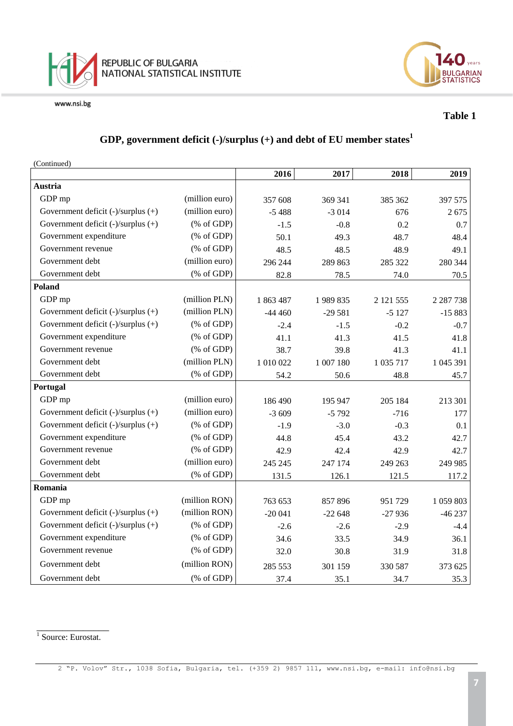



#### **Table 1**

#### **GDP, government deficit (-)/surplus (+) and debt of EU member states<sup>1</sup>**

(Continued)

|                                         |                                                                 | 2016      | 2017      | 2018      | 2019          |
|-----------------------------------------|-----------------------------------------------------------------|-----------|-----------|-----------|---------------|
| Austria                                 |                                                                 |           |           |           |               |
| GDP mp                                  | (million euro)                                                  | 357 608   | 369 341   | 385 362   | 397 575       |
| Government deficit (-)/surplus (+)      | (million euro)                                                  | $-5488$   | $-3014$   | 676       | 2675          |
| Government deficit (-)/surplus (+)      | $(% \mathcal{L}_{0} \cap \mathcal{L}_{1})$ (% of GDP)           | $-1.5$    | $-0.8$    | 0.2       | 0.7           |
| Government expenditure                  | $(% \mathcal{L}_{0}^{\infty}$ (% of GDP)                        | 50.1      | 49.3      | 48.7      | 48.4          |
| Government revenue                      | $(% \mathcal{L}_{0}^{\infty}$ (% of GDP)                        | 48.5      | 48.5      | 48.9      | 49.1          |
| Government debt                         | (million euro)                                                  | 296 244   | 289 863   | 285 322   | 280 344       |
| Government debt                         | $(% \mathcal{L}_{0} \cap \mathcal{L}_{1})$ (% of GDP)           | 82.8      | 78.5      | 74.0      | 70.5          |
| Poland                                  |                                                                 |           |           |           |               |
| GDP mp                                  | (million PLN)                                                   | 1863487   | 1989835   | 2 121 555 | 2 2 8 7 7 3 8 |
| Government deficit $(-)/$ surplus $(+)$ | (million PLN)                                                   | $-44460$  | $-29581$  | $-5127$   | $-15883$      |
| Government deficit (-)/surplus (+)      | $(% \mathcal{L}_{0}^{\infty}$ (% of GDP)                        | $-2.4$    | $-1.5$    | $-0.2$    | $-0.7$        |
| Government expenditure                  | $(% \mathcal{L}_{0}^{\infty}$ (% of GDP)                        | 41.1      | 41.3      | 41.5      | 41.8          |
| Government revenue                      | $(% \mathcal{L}_{0}^{\infty}$ (% of GDP)                        | 38.7      | 39.8      | 41.3      | 41.1          |
| Government debt                         | (million PLN)                                                   | 1 010 022 | 1 007 180 | 1 035 717 | 1 045 391     |
| Government debt                         | $(% \mathcal{L}_{0} \cap \mathcal{L}_{1})$ (% of GDP)           | 54.2      | 50.6      | 48.8      | 45.7          |
| Portugal                                |                                                                 |           |           |           |               |
| GDP mp                                  | (million euro)                                                  | 186 490   | 195 947   | 205 184   | 213 301       |
| Government deficit (-)/surplus (+)      | (million euro)                                                  | $-3609$   | $-5792$   | $-716$    | 177           |
| Government deficit $(-)/$ surplus $(+)$ | $(% \mathcal{L}_{0} \cap \mathcal{L}_{1})$ (% of GDP)           | $-1.9$    | $-3.0$    | $-0.3$    | 0.1           |
| Government expenditure                  | $(% \mathcal{L}_{0} \cap \mathcal{L}_{1})$ (% of GDP)           | 44.8      | 45.4      | 43.2      | 42.7          |
| Government revenue                      | $(% \mathcal{L}_{0}^{\infty}$ (% of GDP)                        | 42.9      | 42.4      | 42.9      | 42.7          |
| Government debt                         | (million euro)                                                  | 245 245   | 247 174   | 249 263   | 249 985       |
| Government debt                         | $(% \mathcal{L}_{0}^{\ast }\otimes \mathcal{L}_{1})$ (% of GDP) | 131.5     | 126.1     | 121.5     | 117.2         |
| Romania                                 |                                                                 |           |           |           |               |
| GDP mp                                  | (million RON)                                                   | 763 653   | 857896    | 951729    | 1 059 803     |
| Government deficit $(-)/$ surplus $(+)$ | (million RON)                                                   | $-20041$  | $-22648$  | $-27936$  | $-46237$      |
| Government deficit (-)/surplus (+)      | $(% \mathcal{L}_{0}^{\infty}$ (% of GDP)                        | $-2.6$    | $-2.6$    | $-2.9$    | $-4.4$        |
| Government expenditure                  | $(% \mathcal{L}_{0} \cap \mathcal{L}_{1})$ (% of GDP)           | 34.6      | 33.5      | 34.9      | 36.1          |
| Government revenue                      | $(% \mathcal{L}_{0}^{\infty}$ (% of GDP)                        | 32.0      | 30.8      | 31.9      | 31.8          |
| Government debt                         | (million RON)                                                   | 285 553   | 301 159   | 330 587   | 373 625       |
| Government debt                         | $(% \mathcal{L}_{0} \cap \mathcal{L}_{1})$ (% of GDP)           | 37.4      | 35.1      | 34.7      | 35.3          |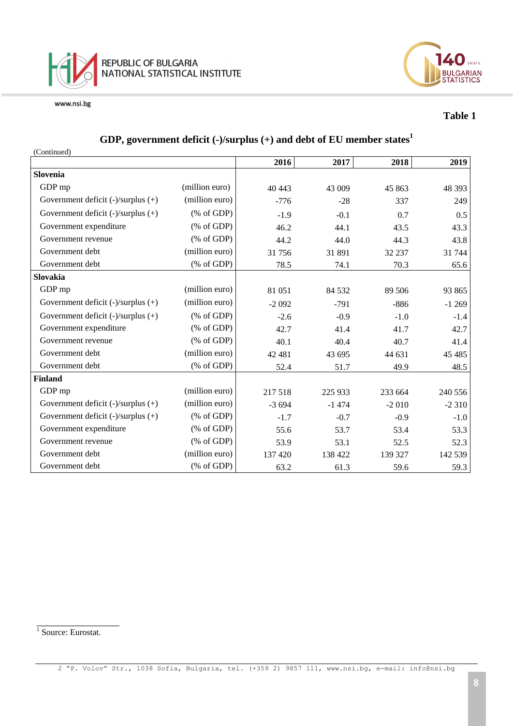



#### **Table 1**

#### **GDP, government deficit (-)/surplus (+) and debt of EU member states<sup>1</sup>**

| (Continued)                             |                                                       |         |         |         |         |
|-----------------------------------------|-------------------------------------------------------|---------|---------|---------|---------|
|                                         |                                                       | 2016    | 2017    | 2018    | 2019    |
| <b>Slovenia</b>                         |                                                       |         |         |         |         |
| GDP mp                                  | (million euro)                                        | 40 443  | 43 009  | 45 863  | 48 3 93 |
| Government deficit $(-)/$ surplus $(+)$ | (million euro)                                        | $-776$  | $-28$   | 337     | 249     |
| Government deficit $(-)/$ surplus $(+)$ | $(% \mathcal{L}_{0}^{\infty}$ (% of GDP)              | $-1.9$  | $-0.1$  | 0.7     | 0.5     |
| Government expenditure                  | $(% \mathcal{L}_{0}^{\infty}$ (% of GDP)              | 46.2    | 44.1    | 43.5    | 43.3    |
| Government revenue                      | $(% \mathcal{L}_{0} \cap \mathcal{L}_{1})$ (% of GDP) | 44.2    | 44.0    | 44.3    | 43.8    |
| Government debt                         | (million euro)                                        | 31756   | 31 891  | 32 237  | 31 744  |
| Government debt                         | $(% \mathcal{L}_{0} \cap \mathcal{L}_{1})$ (% of GDP) | 78.5    | 74.1    | 70.3    | 65.6    |
| <b>Slovakia</b>                         |                                                       |         |         |         |         |
| GDP mp                                  | (million euro)                                        | 81 051  | 84 5 32 | 89 50 6 | 93 865  |
| Government deficit $(-)/$ surplus $(+)$ | (million euro)                                        | $-2092$ | $-791$  | $-886$  | $-1269$ |
| Government deficit $(-)/$ surplus $(+)$ | $(% \mathcal{L}_{0}^{\infty}$ (% of GDP)              | $-2.6$  | $-0.9$  | $-1.0$  | $-1.4$  |
| Government expenditure                  | $(% \mathcal{L}_{0}^{\infty}$ (% of GDP)              | 42.7    | 41.4    | 41.7    | 42.7    |
| Government revenue                      | $(% \mathcal{L}_{0} \cap \mathcal{L}_{1})$ (% of GDP) | 40.1    | 40.4    | 40.7    | 41.4    |
| Government debt                         | (million euro)                                        | 42 481  | 43 695  | 44 631  | 45 4 85 |
| Government debt                         | $(% \mathcal{L}_{0} \cap \mathcal{L}_{1})$ (% of GDP) | 52.4    | 51.7    | 49.9    | 48.5    |
| <b>Finland</b>                          |                                                       |         |         |         |         |
| GDP mp                                  | (million euro)                                        | 217 518 | 225 933 | 233 664 | 240 556 |
| Government deficit $(-)/$ surplus $(+)$ | (million euro)                                        | $-3694$ | $-1474$ | $-2010$ | $-2310$ |
| Government deficit (-)/surplus (+)      | $(% \mathcal{L}_{0} \cap \mathcal{L}_{1})$ (% of GDP) | $-1.7$  | $-0.7$  | $-0.9$  | $-1.0$  |
| Government expenditure                  | $(% \mathcal{L}_{0} \cap \mathcal{L}_{1})$ (% of GDP) | 55.6    | 53.7    | 53.4    | 53.3    |
| Government revenue                      | $(% \mathcal{L}_{0} \cap \mathcal{L}_{1})$ (% of GDP) | 53.9    | 53.1    | 52.5    | 52.3    |
| Government debt                         | (million euro)                                        | 137 420 | 138 422 | 139 327 | 142 539 |
| Government debt                         | $(% \mathcal{L}_{0}^{\infty}$ (% of GDP)              | 63.2    | 61.3    | 59.6    | 59.3    |